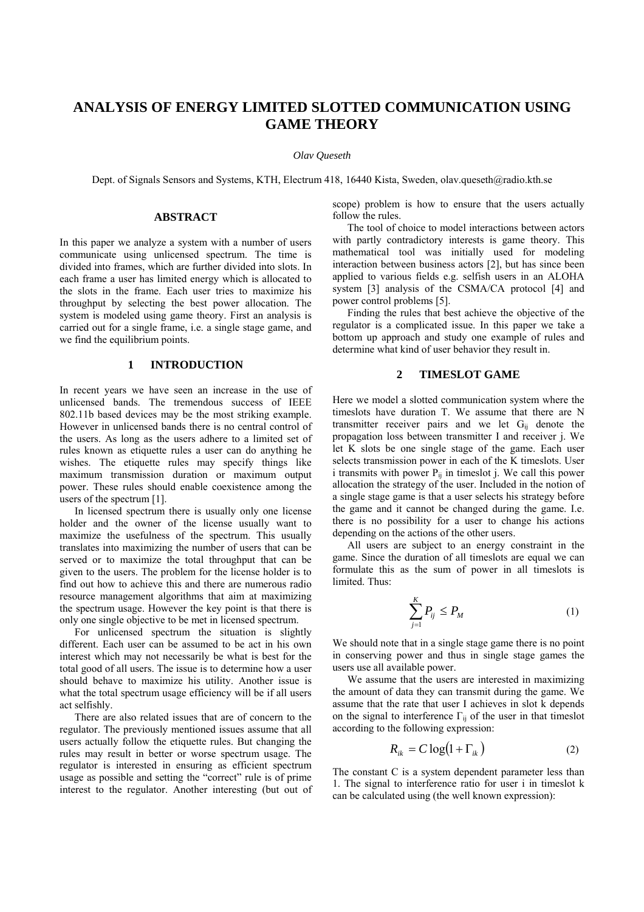# **ANALYSIS OF ENERGY LIMITED SLOTTED COMMUNICATION USING GAME THEORY**

*Olav Queseth* 

Dept. of Signals Sensors and Systems, KTH, Electrum 418, 16440 Kista, Sweden, olav.queseth@radio.kth.se

## **ABSTRACT**

In this paper we analyze a system with a number of users communicate using unlicensed spectrum. The time is divided into frames, which are further divided into slots. In each frame a user has limited energy which is allocated to the slots in the frame. Each user tries to maximize his throughput by selecting the best power allocation. The system is modeled using game theory. First an analysis is carried out for a single frame, i.e. a single stage game, and we find the equilibrium points.

### **1 INTRODUCTION**

In recent years we have seen an increase in the use of unlicensed bands. The tremendous success of IEEE 802.11b based devices may be the most striking example. However in unlicensed bands there is no central control of the users. As long as the users adhere to a limited set of rules known as etiquette rules a user can do anything he wishes. The etiquette rules may specify things like maximum transmission duration or maximum output power. These rules should enable coexistence among the users of the spectrum [1].

In licensed spectrum there is usually only one license holder and the owner of the license usually want to maximize the usefulness of the spectrum. This usually translates into maximizing the number of users that can be served or to maximize the total throughput that can be given to the users. The problem for the license holder is to find out how to achieve this and there are numerous radio resource management algorithms that aim at maximizing the spectrum usage. However the key point is that there is only one single objective to be met in licensed spectrum.

For unlicensed spectrum the situation is slightly different. Each user can be assumed to be act in his own interest which may not necessarily be what is best for the total good of all users. The issue is to determine how a user should behave to maximize his utility. Another issue is what the total spectrum usage efficiency will be if all users act selfishly.

There are also related issues that are of concern to the regulator. The previously mentioned issues assume that all users actually follow the etiquette rules. But changing the rules may result in better or worse spectrum usage. The regulator is interested in ensuring as efficient spectrum usage as possible and setting the "correct" rule is of prime interest to the regulator. Another interesting (but out of scope) problem is how to ensure that the users actually follow the rules.

The tool of choice to model interactions between actors with partly contradictory interests is game theory. This mathematical tool was initially used for modeling interaction between business actors [2], but has since been applied to various fields e.g. selfish users in an ALOHA system [3] analysis of the CSMA/CA protocol [4] and power control problems [5].

Finding the rules that best achieve the objective of the regulator is a complicated issue. In this paper we take a bottom up approach and study one example of rules and determine what kind of user behavior they result in.

# **2 TIMESLOT GAME**

Here we model a slotted communication system where the timeslots have duration T. We assume that there are N transmitter receiver pairs and we let  $G_{ii}$  denote the propagation loss between transmitter I and receiver j. We let K slots be one single stage of the game. Each user selects transmission power in each of the K timeslots. User i transmits with power  $P_{ii}$  in timeslot j. We call this power allocation the strategy of the user. Included in the notion of a single stage game is that a user selects his strategy before the game and it cannot be changed during the game. I.e. there is no possibility for a user to change his actions depending on the actions of the other users.

All users are subject to an energy constraint in the game. Since the duration of all timeslots are equal we can formulate this as the sum of power in all timeslots is limited. Thus:

$$
\sum_{j=1}^{K} P_{ij} \le P_M \tag{1}
$$

We should note that in a single stage game there is no point in conserving power and thus in single stage games the users use all available power.

We assume that the users are interested in maximizing the amount of data they can transmit during the game. We assume that the rate that user I achieves in slot k depends on the signal to interference  $\Gamma_{ii}$  of the user in that timeslot according to the following expression:

$$
R_{ik} = C \log(1 + \Gamma_{ik}) \tag{2}
$$

The constant C is a system dependent parameter less than 1. The signal to interference ratio for user i in timeslot k can be calculated using (the well known expression):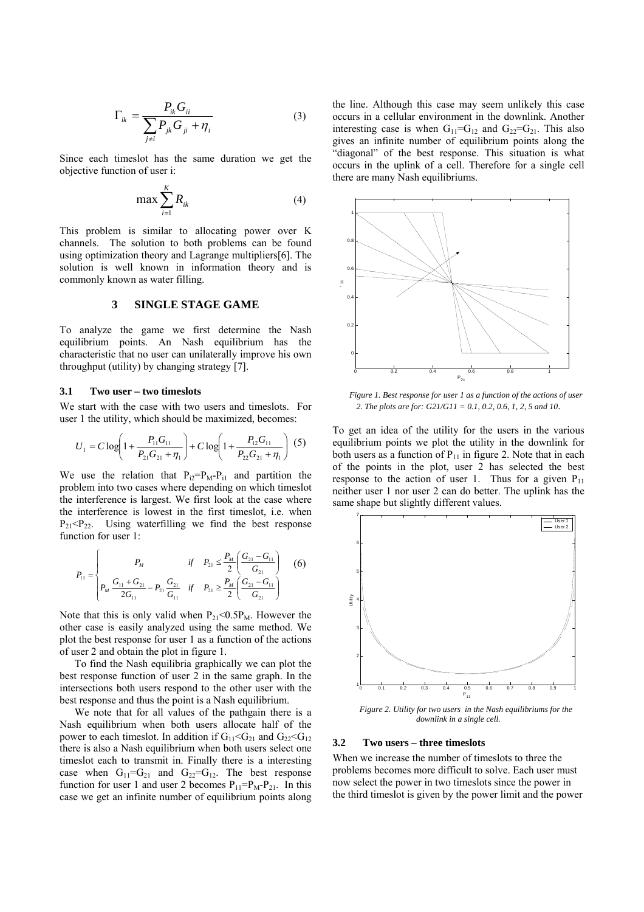$$
\Gamma_{ik} = \frac{P_{ik} G_{ii}}{\sum_{j \neq i} P_{jk} G_{ji} + \eta_i}
$$
\n(3)

Since each timeslot has the same duration we get the objective function of user i:

$$
\max \sum_{i=1}^{K} R_{ik} \tag{4}
$$

This problem is similar to allocating power over K channels. The solution to both problems can be found using optimization theory and Lagrange multipliers[6]. The solution is well known in information theory and is commonly known as water filling.

## **3 SINGLE STAGE GAME**

To analyze the game we first determine the Nash equilibrium points. An Nash equilibrium has the characteristic that no user can unilaterally improve his own throughput (utility) by changing strategy [7].

#### **3.1 Two user – two timeslots**

We start with the case with two users and timeslots. For user 1 the utility, which should be maximized, becomes:

$$
U_1 = C \log \left( 1 + \frac{P_{11} G_{11}}{P_{21} G_{21} + \eta_1} \right) + C \log \left( 1 + \frac{P_{12} G_{11}}{P_{22} G_{21} + \eta_1} \right) (5)
$$

We use the relation that  $P_{i2}=P_M-P_{i1}$  and partition the problem into two cases where depending on which timeslot the interference is largest. We first look at the case where the interference is lowest in the first timeslot, i.e. when  $P_{21}$ < $P_{22}$ . Using waterfilling we find the best response function for user 1:

$$
P_{11} = \begin{cases} P_M & \text{if} \quad P_{21} \le \frac{P_M}{2} \left( \frac{G_{21} - G_{11}}{G_{21}} \right) \\ P_M & \frac{G_{11} + G_{21}}{2G_{11}} - P_{21} \frac{G_{21}}{G_{11}} & \text{if} \quad P_{21} \ge \frac{P_M}{2} \left( \frac{G_{21} - G_{11}}{G_{21}} \right) \end{cases} (6)
$$

Note that this is only valid when  $P_{21} < 0.5P_M$ . However the other case is easily analyzed using the same method. We plot the best response for user 1 as a function of the actions of user 2 and obtain the plot in figure 1.

To find the Nash equilibria graphically we can plot the best response function of user 2 in the same graph. In the intersections both users respond to the other user with the best response and thus the point is a Nash equilibrium.

We note that for all values of the pathgain there is a Nash equilibrium when both users allocate half of the power to each timeslot. In addition if  $G_{11} < G_{21}$  and  $G_{22} < G_{12}$ there is also a Nash equilibrium when both users select one timeslot each to transmit in. Finally there is a interesting case when  $G_{11}=G_{21}$  and  $G_{22}=G_{12}$ . The best response function for user 1 and user 2 becomes  $P_{11}=P_{M}-P_{21}$ . In this case we get an infinite number of equilibrium points along

the line. Although this case may seem unlikely this case occurs in a cellular environment in the downlink. Another interesting case is when  $G_{11}=G_{12}$  and  $G_{22}=G_{21}$ . This also gives an infinite number of equilibrium points along the "diagonal" of the best response. This situation is what occurs in the uplink of a cell. Therefore for a single cell there are many Nash equilibriums.



*Figure 1. Best response for user 1 as a function of the actions of user 2. The plots are for: G21/G11 = 0.1, 0.2, 0.6, 1, 2, 5 and 10*.

To get an idea of the utility for the users in the various equilibrium points we plot the utility in the downlink for both users as a function of  $P_{11}$  in figure 2. Note that in each of the points in the plot, user 2 has selected the best response to the action of user 1. Thus for a given  $P_{11}$ neither user 1 nor user 2 can do better. The uplink has the same shape but slightly different values.



*Figure 2. Utility for two users in the Nash equilibriums for the downlink in a single cell.* 

#### **3.2 Two users – three timeslots**

When we increase the number of timeslots to three the problems becomes more difficult to solve. Each user must now select the power in two timeslots since the power in the third timeslot is given by the power limit and the power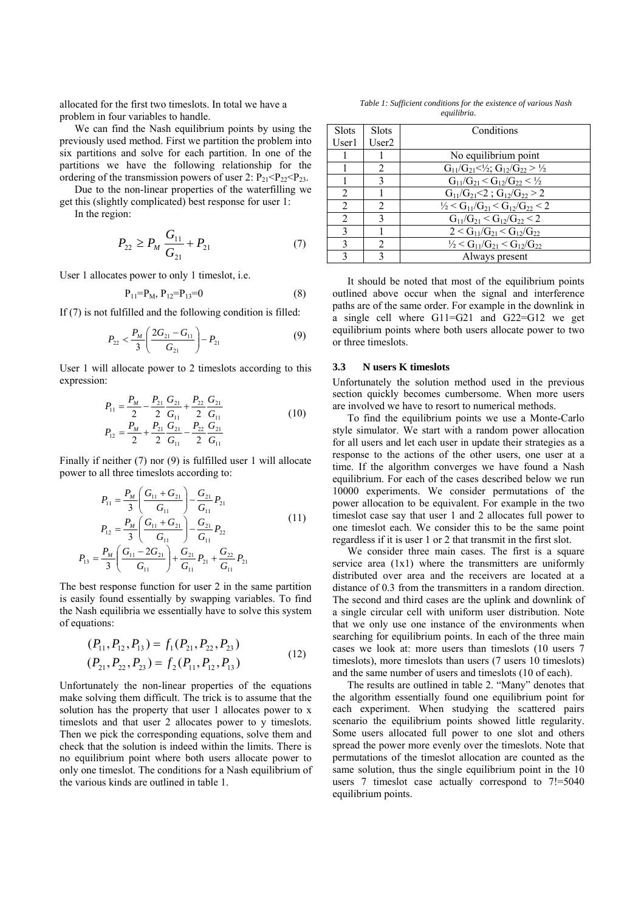allocated for the first two timeslots. In total we have a problem in four variables to handle.

We can find the Nash equilibrium points by using the previously used method. First we partition the problem into six partitions and solve for each partition. In one of the partitions we have the following relationship for the ordering of the transmission powers of user 2:  $P_{21} < P_{22} < P_{23}$ .

Due to the non-linear properties of the waterfilling we get this (slightly complicated) best response for user 1:

In the region:

 $P_{13}$ 

$$
P_{22} \ge P_M \frac{G_{11}}{G_{21}} + P_{21} \tag{7}
$$

User 1 allocates power to only 1 timeslot, i.e.

$$
P_{11} = P_{M}, P_{12} = P_{13} = 0 \tag{8}
$$

If (7) is not fulfilled and the following condition is filled:

$$
P_{22} < \frac{P_M}{3} \left( \frac{2G_{21} - G_{11}}{G_{21}} \right) - P_{21} \tag{9}
$$

User 1 will allocate power to 2 timeslots according to this expression:

$$
P_{11} = \frac{P_M}{2} - \frac{P_{21}}{2} \frac{G_{21}}{G_{11}} + \frac{P_{22}}{2} \frac{G_{21}}{G_{11}}
$$
  
\n
$$
P_{12} = \frac{P_M}{2} + \frac{P_{21}}{2} \frac{G_{21}}{G_{11}} - \frac{P_{22}}{2} \frac{G_{21}}{G_{11}}
$$
 (10)

Finally if neither (7) nor (9) is fulfilled user 1 will allocate power to all three timeslots according to:

$$
P_{11} = \frac{P_M}{3} \left( \frac{G_{11} + G_{21}}{G_{11}} \right) - \frac{G_{21}}{G_{11}} P_{21}
$$
  
\n
$$
P_{12} = \frac{P_M}{3} \left( \frac{G_{11} + G_{21}}{G_{11}} \right) - \frac{G_{21}}{G_{11}} P_{22}
$$
  
\n
$$
P_{13} = \frac{P_M}{3} \left( \frac{G_{11} - 2G_{21}}{G_{11}} \right) + \frac{G_{21}}{G_{11}} P_{21} + \frac{G_{22}}{G_{11}} P_{21}
$$
\n(11)

The best response function for user 2 in the same partition is easily found essentially by swapping variables. To find the Nash equilibria we essentially have to solve this system of equations:

$$
(P_{11}, P_{12}, P_{13}) = f_1(P_{21}, P_{22}, P_{23})
$$
  
\n
$$
(P_{21}, P_{22}, P_{23}) = f_2(P_{11}, P_{12}, P_{13})
$$
\n(12)

Unfortunately the non-linear properties of the equations make solving them difficult. The trick is to assume that the solution has the property that user 1 allocates power to x timeslots and that user 2 allocates power to y timeslots. Then we pick the corresponding equations, solve them and check that the solution is indeed within the limits. There is no equilibrium point where both users allocate power to only one timeslot. The conditions for a Nash equilibrium of the various kinds are outlined in table 1.

*Table 1: Sufficient conditions for the existence of various Nash equilibria.* 

| <b>Slots</b>                | <b>Slots</b>                | Conditions                                                                              |  |  |
|-----------------------------|-----------------------------|-----------------------------------------------------------------------------------------|--|--|
| User1                       | User2                       |                                                                                         |  |  |
|                             |                             | No equilibrium point                                                                    |  |  |
|                             | 2                           | $G_{11}/G_{21} < \frac{1}{2}$ ; $G_{12}/G_{22} > \frac{1}{2}$                           |  |  |
|                             | 3                           | $G_{11}/G_{21} < G_{12}/G_{22} < \frac{1}{2}$                                           |  |  |
| $\mathfrak{D}$              |                             | $G_{11}/G_{21} < 2$ ; $G_{12}/G_{22} > 2$                                               |  |  |
| 2                           | $\mathcal{D}_{\mathcal{A}}$ | $\frac{1}{2}$ < G <sub>11</sub> /G <sub>21</sub> < G <sub>12</sub> /G <sub>22</sub> < 2 |  |  |
| $\mathcal{D}_{\mathcal{L}}$ | 3                           | $G_{11}/G_{21} \le G_{12}/G_{22} \le 2$                                                 |  |  |
| 3                           |                             | $2 < G_{11}/G_{21} < G_{12}/G_{22}$                                                     |  |  |
| 3                           | $\mathcal{D}$               | $\frac{1}{2}$ < G <sub>11</sub> /G <sub>21</sub> < G <sub>12</sub> /G <sub>22</sub>     |  |  |
| 3                           |                             | Always present                                                                          |  |  |

It should be noted that most of the equilibrium points outlined above occur when the signal and interference paths are of the same order. For example in the downlink in a single cell where G11=G21 and G22=G12 we get equilibrium points where both users allocate power to two or three timeslots.

#### **3.3 N users K timeslots**

Unfortunately the solution method used in the previous section quickly becomes cumbersome. When more users are involved we have to resort to numerical methods.

To find the equilibrium points we use a Monte-Carlo style simulator. We start with a random power allocation for all users and let each user in update their strategies as a response to the actions of the other users, one user at a time. If the algorithm converges we have found a Nash equilibrium. For each of the cases described below we run 10000 experiments. We consider permutations of the power allocation to be equivalent. For example in the two timeslot case say that user 1 and 2 allocates full power to one timeslot each. We consider this to be the same point regardless if it is user 1 or 2 that transmit in the first slot.

We consider three main cases. The first is a square service area (1x1) where the transmitters are uniformly distributed over area and the receivers are located at a distance of 0.3 from the transmitters in a random direction. The second and third cases are the uplink and downlink of a single circular cell with uniform user distribution. Note that we only use one instance of the environments when searching for equilibrium points. In each of the three main cases we look at: more users than timeslots (10 users 7 timeslots), more timeslots than users (7 users 10 timeslots) and the same number of users and timeslots (10 of each).

The results are outlined in table 2. "Many" denotes that the algorithm essentially found one equilibrium point for each experiment. When studying the scattered pairs scenario the equilibrium points showed little regularity. Some users allocated full power to one slot and others spread the power more evenly over the timeslots. Note that permutations of the timeslot allocation are counted as the same solution, thus the single equilibrium point in the 10 users 7 timeslot case actually correspond to 7!=5040 equilibrium points.